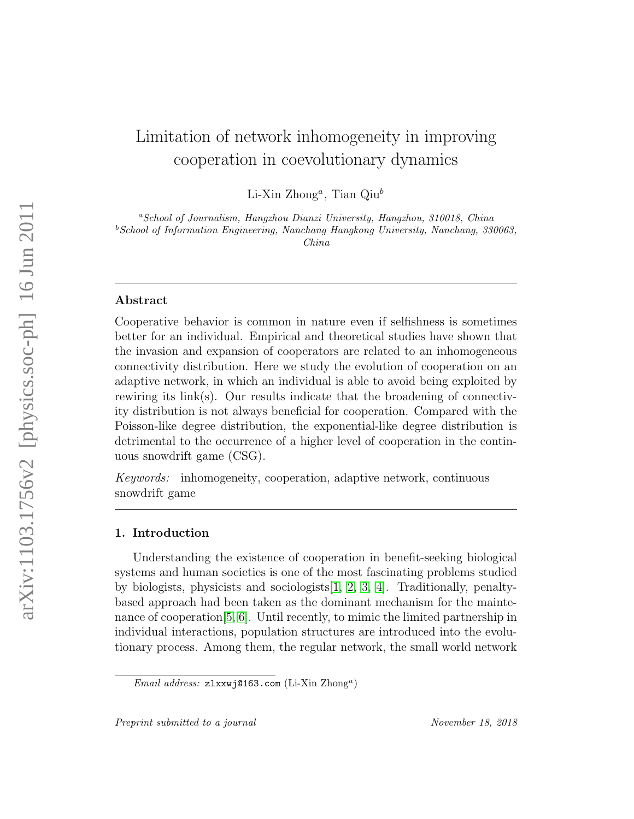# Limitation of network inhomogeneity in improving cooperation in coevolutionary dynamics

 $Li$ -Xin Zhong<sup>a</sup>, Tian Qiu<sup>b</sup>

<sup>a</sup>School of Journalism, Hangzhou Dianzi University, Hangzhou, 310018, China <sup>b</sup>School of Information Engineering, Nanchang Hangkong University, Nanchang, 330063, China

# Abstract

Cooperative behavior is common in nature even if selfishness is sometimes better for an individual. Empirical and theoretical studies have shown that the invasion and expansion of cooperators are related to an inhomogeneous connectivity distribution. Here we study the evolution of cooperation on an adaptive network, in which an individual is able to avoid being exploited by rewiring its link(s). Our results indicate that the broadening of connectivity distribution is not always beneficial for cooperation. Compared with the Poisson-like degree distribution, the exponential-like degree distribution is detrimental to the occurrence of a higher level of cooperation in the continuous snowdrift game (CSG).

Keywords: inhomogeneity, cooperation, adaptive network, continuous snowdrift game

# 1. Introduction

Understanding the existence of cooperation in benefit-seeking biological systems and human societies is one of the most fascinating problems studied by biologists, physicists and sociologists[\[1,](#page-14-0) [2,](#page-14-1) [3,](#page-14-2) [4\]](#page-14-3). Traditionally, penaltybased approach had been taken as the dominant mechanism for the maintenance of cooperation[\[5,](#page-14-4) [6\]](#page-15-0). Until recently, to mimic the limited partnership in individual interactions, population structures are introduced into the evolutionary process. Among them, the regular network, the small world network

Email address: zlxxwj@163.com (Li-Xin Zhong<sup>a</sup>)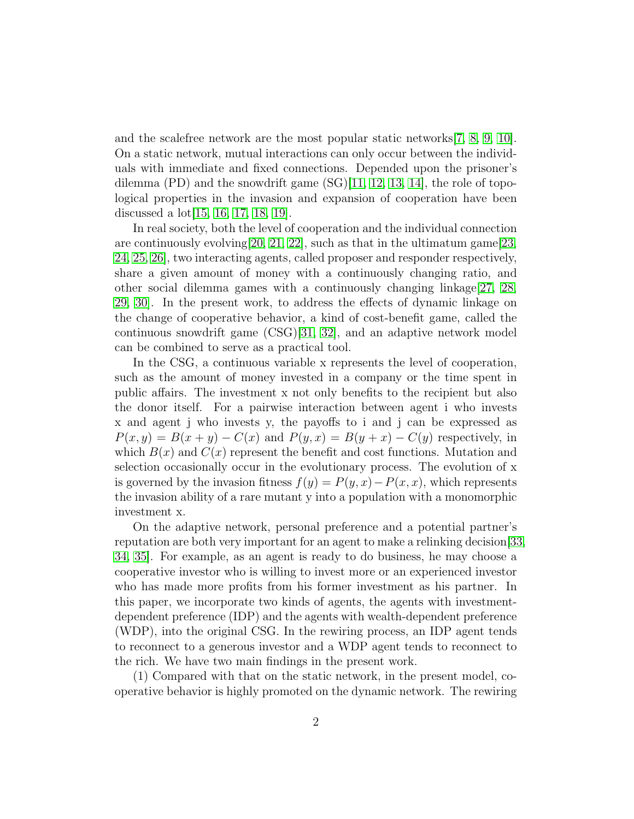and the scalefree network are the most popular static networks[\[7,](#page-15-1) [8,](#page-15-2) [9,](#page-15-3) [10\]](#page-15-4). On a static network, mutual interactions can only occur between the individuals with immediate and fixed connections. Depended upon the prisoner's dilemma  $(PD)$  and the snowdrift game  $(SG)[11, 12, 13, 14]$  $(SG)[11, 12, 13, 14]$  $(SG)[11, 12, 13, 14]$  $(SG)[11, 12, 13, 14]$  $(SG)[11, 12, 13, 14]$ , the role of topological properties in the invasion and expansion of cooperation have been discussed a lot[\[15,](#page-15-9) [16,](#page-15-10) [17,](#page-15-11) [18,](#page-15-12) [19\]](#page-15-13).

In real society, both the level of cooperation and the individual connection are continuously evolving  $[20, 21, 22]$  $[20, 21, 22]$  $[20, 21, 22]$ , such as that in the ultimatum game  $[23, 22]$  $[23, 22]$ [24,](#page-16-0) [25,](#page-16-1) [26\]](#page-16-2), two interacting agents, called proposer and responder respectively, share a given amount of money with a continuously changing ratio, and other social dilemma games with a continuously changing linkage  $[27, 28,$  $[27, 28,$ [29,](#page-16-5) [30\]](#page-16-6). In the present work, to address the effects of dynamic linkage on the change of cooperative behavior, a kind of cost-benefit game, called the continuous snowdrift game (CSG)[\[31,](#page-16-7) [32\]](#page-16-8), and an adaptive network model can be combined to serve as a practical tool.

In the CSG, a continuous variable x represents the level of cooperation, such as the amount of money invested in a company or the time spent in public affairs. The investment x not only benefits to the recipient but also the donor itself. For a pairwise interaction between agent i who invests x and agent j who invests y, the payoffs to i and j can be expressed as  $P(x, y) = B(x + y) - C(x)$  and  $P(y, x) = B(y + x) - C(y)$  respectively, in which  $B(x)$  and  $C(x)$  represent the benefit and cost functions. Mutation and selection occasionally occur in the evolutionary process. The evolution of x is governed by the invasion fitness  $f(y) = P(y, x) - P(x, x)$ , which represents the invasion ability of a rare mutant y into a population with a monomorphic investment x.

On the adaptive network, personal preference and a potential partner's reputation are both very important for an agent to make a relinking decision[\[33,](#page-16-9) [34,](#page-16-10) [35\]](#page-16-11). For example, as an agent is ready to do business, he may choose a cooperative investor who is willing to invest more or an experienced investor who has made more profits from his former investment as his partner. In this paper, we incorporate two kinds of agents, the agents with investmentdependent preference (IDP) and the agents with wealth-dependent preference (WDP), into the original CSG. In the rewiring process, an IDP agent tends to reconnect to a generous investor and a WDP agent tends to reconnect to the rich. We have two main findings in the present work.

(1) Compared with that on the static network, in the present model, cooperative behavior is highly promoted on the dynamic network. The rewiring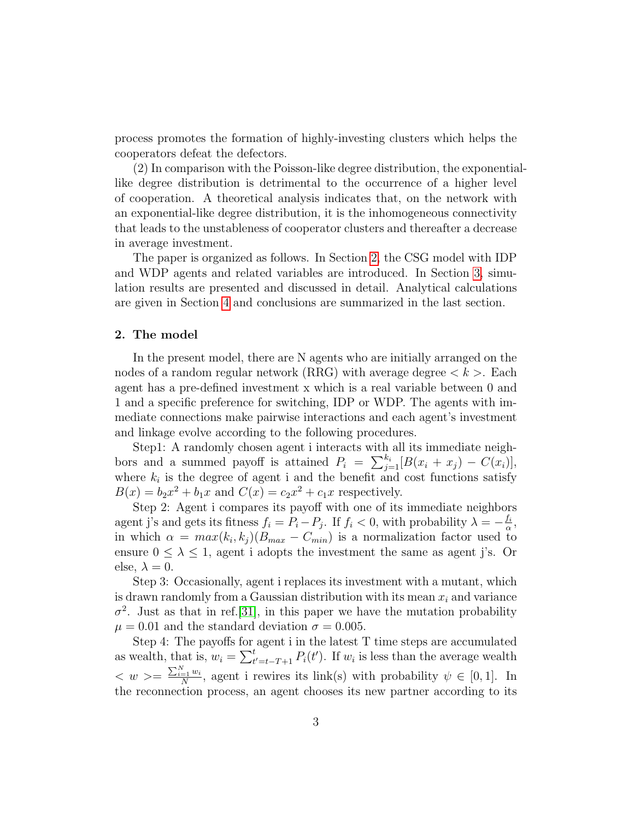process promotes the formation of highly-investing clusters which helps the cooperators defeat the defectors.

(2) In comparison with the Poisson-like degree distribution, the exponentiallike degree distribution is detrimental to the occurrence of a higher level of cooperation. A theoretical analysis indicates that, on the network with an exponential-like degree distribution, it is the inhomogeneous connectivity that leads to the unstableness of cooperator clusters and thereafter a decrease in average investment.

The paper is organized as follows. In Section [2,](#page-2-0) the CSG model with IDP and WDP agents and related variables are introduced. In Section [3,](#page-3-0) simulation results are presented and discussed in detail. Analytical calculations are given in Section [4](#page-10-0) and conclusions are summarized in the last section.

## <span id="page-2-0"></span>2. The model

In the present model, there are N agents who are initially arranged on the nodes of a random regular network (RRG) with average degree  $\lt k$  >. Each agent has a pre-defined investment x which is a real variable between 0 and 1 and a specific preference for switching, IDP or WDP. The agents with immediate connections make pairwise interactions and each agent's investment and linkage evolve according to the following procedures.

Step1: A randomly chosen agent i interacts with all its immediate neighbors and a summed payoff is attained  $P_i = \sum_{j=1}^{k_i} [B(x_i + x_j) - C(x_i)],$ where  $k_i$  is the degree of agent i and the benefit and cost functions satisfy  $B(x) = b_2 x^2 + b_1 x$  and  $C(x) = c_2 x^2 + c_1 x$  respectively.

Step 2: Agent i compares its payoff with one of its immediate neighbors agent j's and gets its fitness  $f_i = P_i - P_j$ . If  $f_i < 0$ , with probability  $\lambda = -\frac{f_i}{\alpha}$  $\frac{f_i}{\alpha},$ in which  $\alpha = max(k_i, k_j)(B_{max} - C_{min})$  is a normalization factor used to ensure  $0 \leq \lambda \leq 1$ , agent i adopts the investment the same as agent j's. Or else,  $\lambda = 0$ .

Step 3: Occasionally, agent i replaces its investment with a mutant, which is drawn randomly from a Gaussian distribution with its mean  $x_i$  and variance  $\sigma^2$ . Just as that in ref. [\[31\]](#page-16-7), in this paper we have the mutation probability  $\mu = 0.01$  and the standard deviation  $\sigma = 0.005$ .

Step 4: The payoffs for agent i in the latest T time steps are accumulated as wealth, that is,  $w_i = \sum_{t'=t-T+1}^{t} P_i(t')$ . If  $w_i$  is less than the average wealth  $\langle w \rangle = \frac{\sum_{i=1}^{N} w_i}{N}$  $\frac{q=1}{N}$ , agent i rewires its link(s) with probability  $\psi \in [0,1]$ . In the reconnection process, an agent chooses its new partner according to its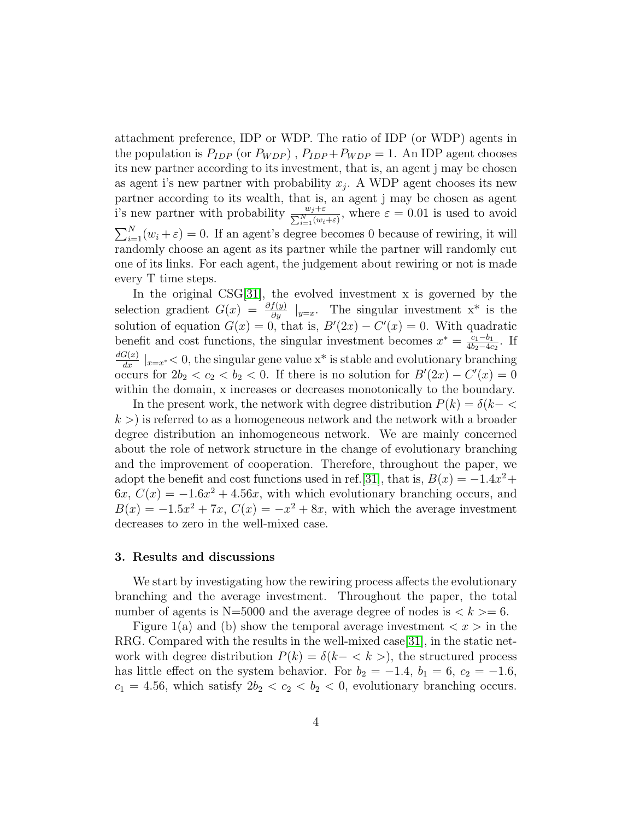attachment preference, IDP or WDP. The ratio of IDP (or WDP) agents in the population is  $P_{IDP}$  (or  $P_{WDP}$ ),  $P_{IDP} + P_{WDP} = 1$ . An IDP agent chooses its new partner according to its investment, that is, an agent j may be chosen as agent i's new partner with probability  $x_j$ . A WDP agent chooses its new partner according to its wealth, that is, an agent j may be chosen as agent i's new partner with probability  $\frac{w_j+\varepsilon}{\sum_{i=1}^N(w_i+\varepsilon)}$ , where  $\varepsilon = 0.01$  is used to avoid  $\sum_{i=1}^{N} (w_i + \varepsilon) = 0$ . If an agent's degree becomes 0 because of rewiring, it will randomly choose an agent as its partner while the partner will randomly cut one of its links. For each agent, the judgement about rewiring or not is made every T time steps.

In the original CSG[\[31\]](#page-16-7), the evolved investment x is governed by the selection gradient  $G(x) = \frac{\partial f(y)}{\partial y}|_{y=x}$ . The singular investment x<sup>\*</sup> is the solution of equation  $G(x) = 0$ , that is,  $B'(2x) - C'(x) = 0$ . With quadratic benefit and cost functions, the singular investment becomes  $x^* = \frac{c_1 - b_1}{4bc - 4c}$  $\frac{c_1-b_1}{4b_2-4c_2}$ . If  $\frac{dG(x)}{dx} \mid_{x=x^*}$  < 0, the singular gene value x<sup>\*</sup> is stable and evolutionary branching occurs for  $2b_2 < c_2 < b_2 < 0$ . If there is no solution for  $B'(2x) - C'(x) = 0$ within the domain, x increases or decreases monotonically to the boundary.

In the present work, the network with degree distribution  $P(k) = \delta(k - \langle$  $k >$ ) is referred to as a homogeneous network and the network with a broader degree distribution an inhomogeneous network. We are mainly concerned about the role of network structure in the change of evolutionary branching and the improvement of cooperation. Therefore, throughout the paper, we adopt the benefit and cost functions used in ref.[\[31\]](#page-16-7), that is,  $B(x) = -1.4x^2 +$  $6x, C(x) = -1.6x^2 + 4.56x$ , with which evolutionary branching occurs, and  $B(x) = -1.5x^2 + 7x$ ,  $C(x) = -x^2 + 8x$ , with which the average investment decreases to zero in the well-mixed case.

## <span id="page-3-0"></span>3. Results and discussions

We start by investigating how the rewiring process affects the evolutionary branching and the average investment. Throughout the paper, the total number of agents is  $N=5000$  and the average degree of nodes is  $\lt k \gt 6$ .

Figure 1(a) and (b) show the temporal average investment  $\langle x \rangle$  in the RRG. Compared with the results in the well-mixed case[\[31\]](#page-16-7), in the static network with degree distribution  $P(k) = \delta(k - \langle k \rangle)$ , the structured process has little effect on the system behavior. For  $b_2 = -1.4$ ,  $b_1 = 6$ ,  $c_2 = -1.6$ ,  $c_1 = 4.56$ , which satisfy  $2b_2 < c_2 < b_2 < 0$ , evolutionary branching occurs.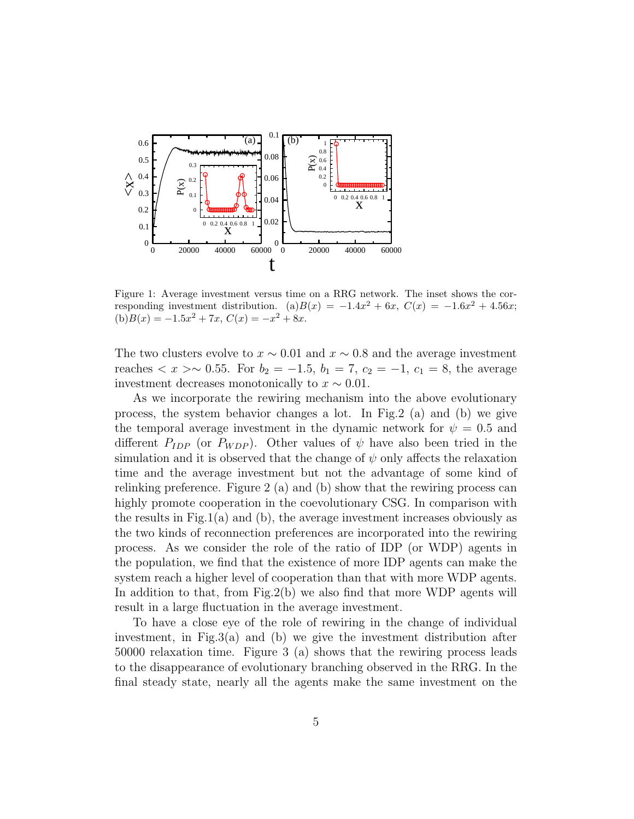

Figure 1: Average investment versus time on a RRG network. The inset shows the corresponding investment distribution. (a) $B(x) = -1.4x^2 + 6x$ ,  $C(x) = -1.6x^2 + 4.56x$ ;  $(b)B(x) = -1.5x^2 + 7x, C(x) = -x^2 + 8x.$ 

The two clusters evolve to  $x \sim 0.01$  and  $x \sim 0.8$  and the average investment reaches  $\langle x \rangle \sim 0.55$ . For  $b_2 = -1.5$ ,  $b_1 = 7$ ,  $c_2 = -1$ ,  $c_1 = 8$ , the average investment decreases monotonically to  $x \sim 0.01$ .

As we incorporate the rewiring mechanism into the above evolutionary process, the system behavior changes a lot. In Fig.2 (a) and (b) we give the temporal average investment in the dynamic network for  $\psi = 0.5$  and different  $P_{IDP}$  (or  $P_{WDP}$ ). Other values of  $\psi$  have also been tried in the simulation and it is observed that the change of  $\psi$  only affects the relaxation time and the average investment but not the advantage of some kind of relinking preference. Figure 2 (a) and (b) show that the rewiring process can highly promote cooperation in the coevolutionary CSG. In comparison with the results in Fig.1(a) and (b), the average investment increases obviously as the two kinds of reconnection preferences are incorporated into the rewiring process. As we consider the role of the ratio of IDP (or WDP) agents in the population, we find that the existence of more IDP agents can make the system reach a higher level of cooperation than that with more WDP agents. In addition to that, from Fig.2(b) we also find that more WDP agents will result in a large fluctuation in the average investment.

To have a close eye of the role of rewiring in the change of individual investment, in Fig.3(a) and (b) we give the investment distribution after 50000 relaxation time. Figure 3 (a) shows that the rewiring process leads to the disappearance of evolutionary branching observed in the RRG. In the final steady state, nearly all the agents make the same investment on the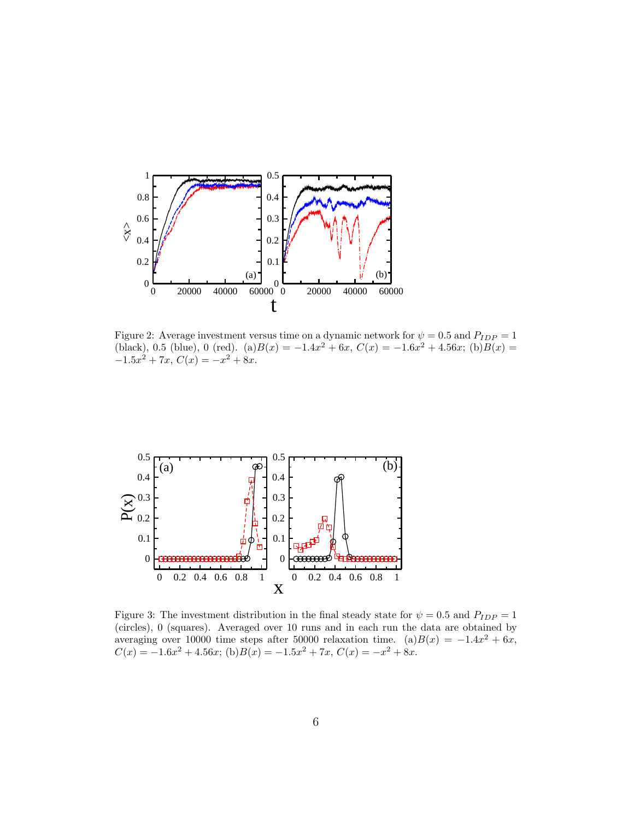

Figure 2: Average investment versus time on a dynamic network for  $\psi = 0.5$  and  $P_{IDP} = 1$ (black), 0.5 (blue), 0 (red). (a) $B(x) = -1.4x^2 + 6x$ ,  $C(x) = -1.6x^2 + 4.56x$ ; (b) $B(x) =$  $-1.5x^2 + 7x$ ,  $C(x) = -x^2 + 8x$ .



Figure 3: The investment distribution in the final steady state for  $\psi = 0.5$  and  $P_{IDP} = 1$ (circles), 0 (squares). Averaged over 10 runs and in each run the data are obtained by averaging over 10000 time steps after 50000 relaxation time. (a) $B(x) = -1.4x^2 + 6x$ ,  $C(x) = -1.6x^2 + 4.56x$ ; (b) $B(x) = -1.5x^2 + 7x$ ,  $C(x) = -x^2 + 8x$ .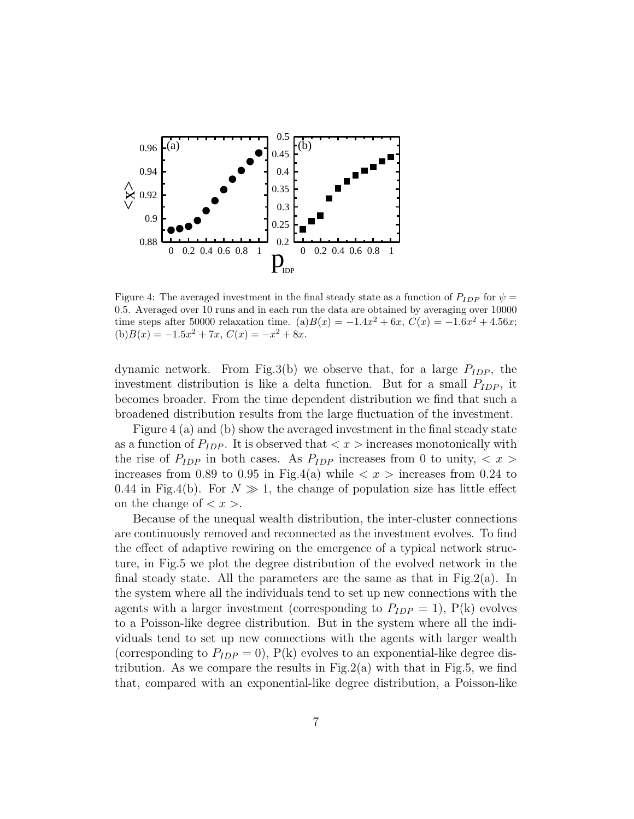

Figure 4: The averaged investment in the final steady state as a function of  $P_{IDP}$  for  $\psi =$ 0.5. Averaged over 10 runs and in each run the data are obtained by averaging over 10000 time steps after 50000 relaxation time. (a) $B(x) = -1.4x^2 + 6x$ ,  $C(x) = -1.6x^2 + 4.56x$ ;  $(b)B(x) = -1.5x^2 + 7x, C(x) = -x^2 + 8x.$ 

dynamic network. From Fig.3(b) we observe that, for a large  $P_{IDP}$ , the investment distribution is like a delta function. But for a small  $P_{IDP}$ , it becomes broader. From the time dependent distribution we find that such a broadened distribution results from the large fluctuation of the investment.

Figure 4 (a) and (b) show the averaged investment in the final steady state as a function of  $P_{IDP}$ . It is observed that  $\langle x \rangle$  increases monotonically with the rise of  $P_{IDP}$  in both cases. As  $P_{IDP}$  increases from 0 to unity,  $\langle x \rangle$ increases from 0.89 to 0.95 in Fig.4(a) while  $\langle x \rangle$  increases from 0.24 to 0.44 in Fig.4(b). For  $N \gg 1$ , the change of population size has little effect on the change of  $\langle x \rangle$ .

Because of the unequal wealth distribution, the inter-cluster connections are continuously removed and reconnected as the investment evolves. To find the effect of adaptive rewiring on the emergence of a typical network structure, in Fig.5 we plot the degree distribution of the evolved network in the final steady state. All the parameters are the same as that in Fig.2(a). In the system where all the individuals tend to set up new connections with the agents with a larger investment (corresponding to  $P_{IDP} = 1$ ),  $P(k)$  evolves to a Poisson-like degree distribution. But in the system where all the individuals tend to set up new connections with the agents with larger wealth (corresponding to  $P_{IDP} = 0$ ),  $P(k)$  evolves to an exponential-like degree distribution. As we compare the results in  $Fig.2(a)$  with that in Fig.5, we find that, compared with an exponential-like degree distribution, a Poisson-like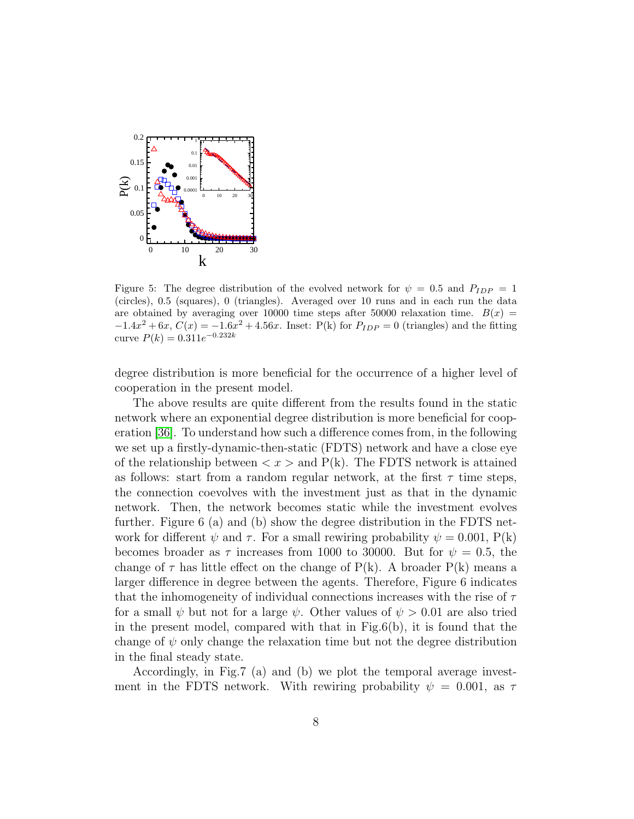

Figure 5: The degree distribution of the evolved network for  $\psi = 0.5$  and  $P_{IDP} = 1$ (circles), 0.5 (squares), 0 (triangles). Averaged over 10 runs and in each run the data are obtained by averaging over 10000 time steps after 50000 relaxation time.  $B(x)$  $-1.4x^{2} + 6x$ ,  $C(x) = -1.6x^{2} + 4.56x$ . Inset: P(k) for  $P_{IDP} = 0$  (triangles) and the fitting curve  $P(k) = 0.311e^{-0.232k}$ 

degree distribution is more beneficial for the occurrence of a higher level of cooperation in the present model.

The above results are quite different from the results found in the static network where an exponential degree distribution is more beneficial for cooperation [\[36\]](#page-16-12). To understand how such a difference comes from, in the following we set up a firstly-dynamic-then-static (FDTS) network and have a close eye of the relationship between  $\langle x \rangle$  and P(k). The FDTS network is attained as follows: start from a random regular network, at the first  $\tau$  time steps, the connection coevolves with the investment just as that in the dynamic network. Then, the network becomes static while the investment evolves further. Figure 6 (a) and (b) show the degree distribution in the FDTS network for different  $\psi$  and  $\tau$ . For a small rewiring probability  $\psi = 0.001$ , P(k) becomes broader as  $\tau$  increases from 1000 to 30000. But for  $\psi = 0.5$ , the change of  $\tau$  has little effect on the change of P(k). A broader P(k) means a larger difference in degree between the agents. Therefore, Figure 6 indicates that the inhomogeneity of individual connections increases with the rise of  $\tau$ for a small  $\psi$  but not for a large  $\psi$ . Other values of  $\psi > 0.01$  are also tried in the present model, compared with that in  $Fig.6(b)$ , it is found that the change of  $\psi$  only change the relaxation time but not the degree distribution in the final steady state.

Accordingly, in Fig.7 (a) and (b) we plot the temporal average investment in the FDTS network. With rewiring probability  $\psi = 0.001$ , as  $\tau$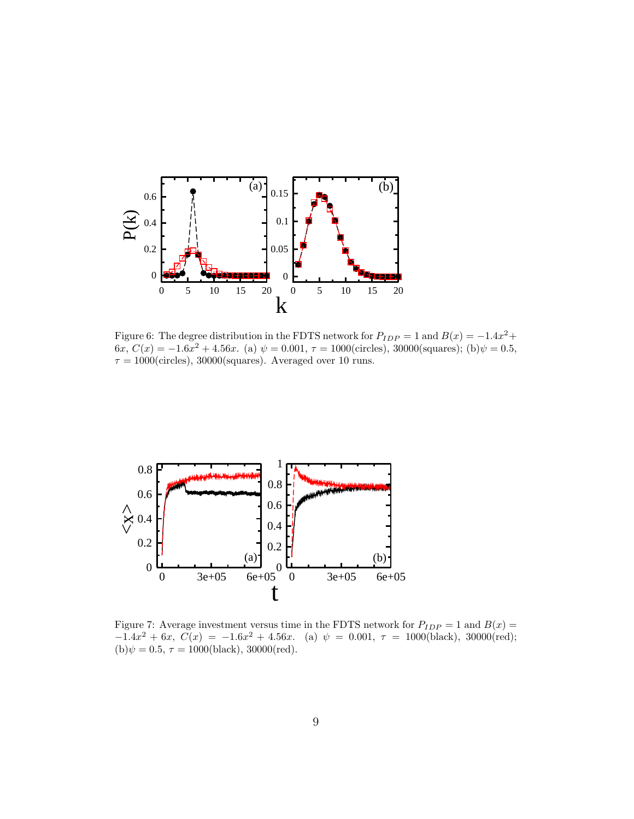

Figure 6: The degree distribution in the FDTS network for  $P_{IDP} = 1$  and  $B(x) = -1.4x^2 +$ 6x,  $C(x) = -1.6x^2 + 4.56x$ . (a)  $\psi = 0.001$ ,  $\tau = 1000$ (circles), 30000(squares); (b) $\psi = 0.5$ ,  $\tau=1000 ({\rm circles}),\,30000 ({\rm squares}).$  Averaged over 10 runs.



Figure 7: Average investment versus time in the FDTS network for  $P_{IDP} = 1$  and  $B(x) =$  $-1.4x^2 + 6x$ ,  $C(x) = -1.6x^2 + 4.56x$ . (a)  $\psi = 0.001$ ,  $\tau = 1000$  (black), 30000 (red); (b) $\psi = 0.5, \tau = 1000 \text{(black)}$ , 30000(red).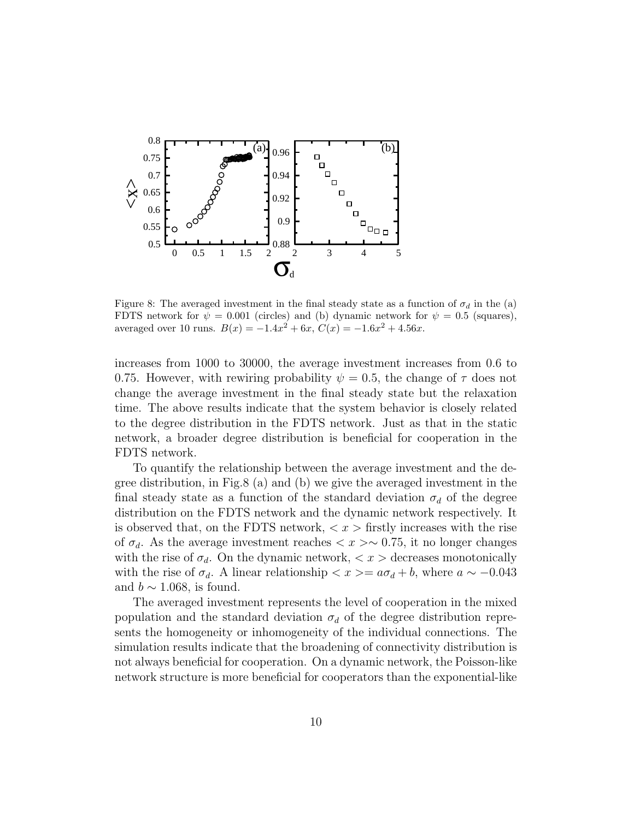

Figure 8: The averaged investment in the final steady state as a function of  $\sigma_d$  in the (a) FDTS network for  $\psi = 0.001$  (circles) and (b) dynamic network for  $\psi = 0.5$  (squares), averaged over 10 runs.  $B(x) = -1.4x^2 + 6x$ ,  $C(x) = -1.6x^2 + 4.56x$ .

increases from 1000 to 30000, the average investment increases from 0.6 to 0.75. However, with rewiring probability  $\psi = 0.5$ , the change of  $\tau$  does not change the average investment in the final steady state but the relaxation time. The above results indicate that the system behavior is closely related to the degree distribution in the FDTS network. Just as that in the static network, a broader degree distribution is beneficial for cooperation in the FDTS network.

To quantify the relationship between the average investment and the degree distribution, in Fig.8 (a) and (b) we give the averaged investment in the final steady state as a function of the standard deviation  $\sigma_d$  of the degree distribution on the FDTS network and the dynamic network respectively. It is observed that, on the FDTS network,  $\langle x \rangle$  firstly increases with the rise of  $\sigma_d$ . As the average investment reaches  $\langle x \rangle \sim 0.75$ , it no longer changes with the rise of  $\sigma_d$ . On the dynamic network,  $\langle x \rangle$  decreases monotonically with the rise of  $\sigma_d$ . A linear relationship  $\langle x \rangle = a \sigma_d + b$ , where  $a \sim -0.043$ and  $b \sim 1.068$ , is found.

The averaged investment represents the level of cooperation in the mixed population and the standard deviation  $\sigma_d$  of the degree distribution represents the homogeneity or inhomogeneity of the individual connections. The simulation results indicate that the broadening of connectivity distribution is not always beneficial for cooperation. On a dynamic network, the Poisson-like network structure is more beneficial for cooperators than the exponential-like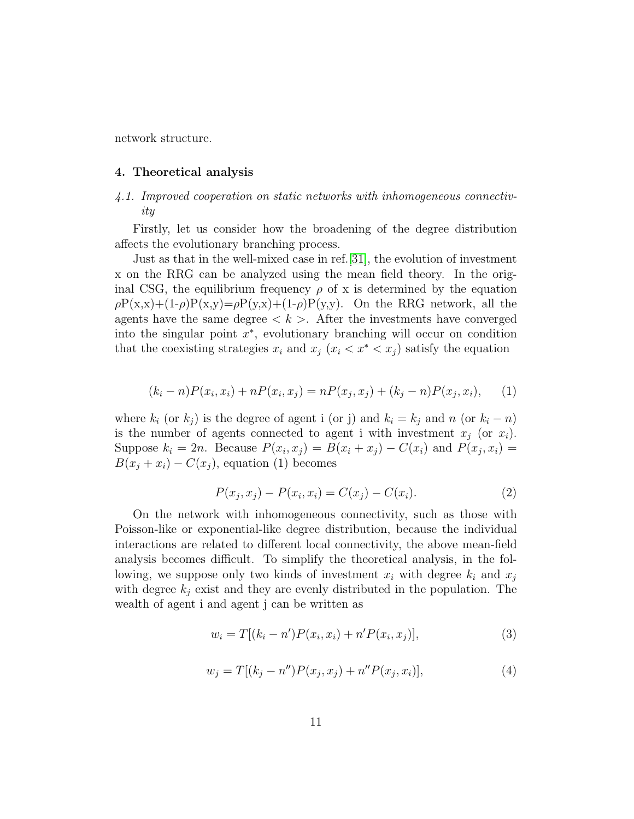network structure.

## <span id="page-10-0"></span>4. Theoretical analysis

# 4.1. Improved cooperation on static networks with inhomogeneous connectivity

Firstly, let us consider how the broadening of the degree distribution affects the evolutionary branching process.

Just as that in the well-mixed case in ref.[\[31\]](#page-16-7), the evolution of investment x on the RRG can be analyzed using the mean field theory. In the original CSG, the equilibrium frequency  $\rho$  of x is determined by the equation  $\rho P(x,x)+(1-\rho)P(x,y)=\rho P(y,x)+(1-\rho)P(y,y)$ . On the RRG network, all the agents have the same degree  $\langle k \rangle$ . After the investments have converged into the singular point  $x^*$ , evolutionary branching will occur on condition that the coexisting strategies  $x_i$  and  $x_j$  ( $x_i < x^* < x_j$ ) satisfy the equation

$$
(k_i - n)P(x_i, x_i) + nP(x_i, x_j) = nP(x_j, x_j) + (k_j - n)P(x_j, x_i), \quad (1)
$$

where  $k_i$  (or  $k_j$ ) is the degree of agent i (or j) and  $k_i = k_j$  and n (or  $k_i - n$ ) is the number of agents connected to agent i with investment  $x_i$  (or  $x_i$ ). Suppose  $k_i = 2n$ . Because  $P(x_i, x_j) = B(x_i + x_j) - C(x_i)$  and  $P(x_j, x_i) =$  $B(x_j + x_i) - C(x_j)$ , equation (1) becomes

$$
P(x_j, x_j) - P(x_i, x_i) = C(x_j) - C(x_i).
$$
 (2)

On the network with inhomogeneous connectivity, such as those with Poisson-like or exponential-like degree distribution, because the individual interactions are related to different local connectivity, the above mean-field analysis becomes difficult. To simplify the theoretical analysis, in the following, we suppose only two kinds of investment  $x_i$  with degree  $k_i$  and  $x_j$ with degree  $k_j$  exist and they are evenly distributed in the population. The wealth of agent i and agent j can be written as

$$
w_i = T[(k_i - n')P(x_i, x_i) + n'P(x_i, x_j)],
$$
\n(3)

$$
w_j = T[(k_j - n'')P(x_j, x_j) + n''P(x_j, x_i)],
$$
\n(4)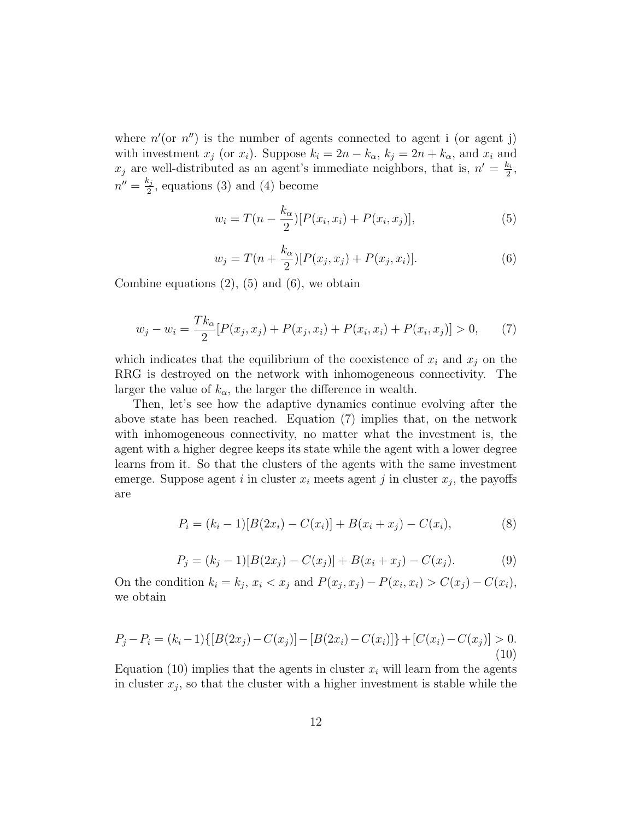where  $n'$  (or  $n''$ ) is the number of agents connected to agent i (or agent j) with investment  $x_j$  (or  $x_i$ ). Suppose  $k_i = 2n - k_\alpha$ ,  $k_j = 2n + k_\alpha$ , and  $x_i$  and  $x_j$  are well-distributed as an agent's immediate neighbors, that is,  $n' = \frac{k_i}{2}$  $\frac{c_i}{2}$ ,  $n'' = \frac{k_j}{2}$  $\frac{\epsilon_j}{2}$ , equations (3) and (4) become

$$
w_i = T(n - \frac{k_\alpha}{2})[P(x_i, x_i) + P(x_i, x_j)],
$$
\n(5)

$$
w_j = T(n + \frac{k_\alpha}{2})[P(x_j, x_j) + P(x_j, x_i)].
$$
\n(6)

Combine equations  $(2)$ ,  $(5)$  and  $(6)$ , we obtain

$$
w_j - w_i = \frac{Tk_\alpha}{2} [P(x_j, x_j) + P(x_j, x_i) + P(x_i, x_i) + P(x_i, x_j)] > 0,
$$
 (7)

which indicates that the equilibrium of the coexistence of  $x_i$  and  $x_j$  on the RRG is destroyed on the network with inhomogeneous connectivity. The larger the value of  $k_{\alpha}$ , the larger the difference in wealth.

Then, let's see how the adaptive dynamics continue evolving after the above state has been reached. Equation (7) implies that, on the network with inhomogeneous connectivity, no matter what the investment is, the agent with a higher degree keeps its state while the agent with a lower degree learns from it. So that the clusters of the agents with the same investment emerge. Suppose agent i in cluster  $x_i$  meets agent j in cluster  $x_j$ , the payoffs are

$$
P_i = (k_i - 1)[B(2x_i) - C(x_i)] + B(x_i + x_j) - C(x_i),
$$
\n(8)

$$
P_j = (k_j - 1)[B(2x_j) - C(x_j)] + B(x_i + x_j) - C(x_j). \tag{9}
$$

On the condition  $k_i = k_j$ ,  $x_i < x_j$  and  $P(x_j, x_j) - P(x_i, x_i) > C(x_j) - C(x_i)$ , we obtain

$$
P_j - P_i = (k_i - 1)\{[B(2x_j) - C(x_j)] - [B(2x_i) - C(x_i)]\} + [C(x_i) - C(x_j)] > 0.
$$
\n(10)

Equation (10) implies that the agents in cluster  $x_i$  will learn from the agents in cluster  $x_j$ , so that the cluster with a higher investment is stable while the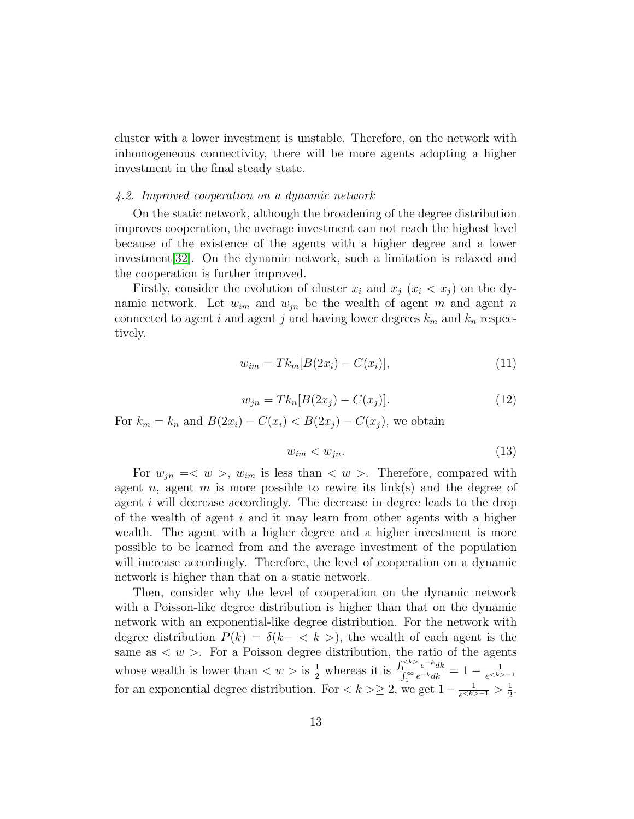cluster with a lower investment is unstable. Therefore, on the network with inhomogeneous connectivity, there will be more agents adopting a higher investment in the final steady state.

## 4.2. Improved cooperation on a dynamic network

On the static network, although the broadening of the degree distribution improves cooperation, the average investment can not reach the highest level because of the existence of the agents with a higher degree and a lower investment[\[32\]](#page-16-8). On the dynamic network, such a limitation is relaxed and the cooperation is further improved.

Firstly, consider the evolution of cluster  $x_i$  and  $x_j$   $(x_i < x_j)$  on the dynamic network. Let  $w_{im}$  and  $w_{jn}$  be the wealth of agent m and agent n connected to agent i and agent j and having lower degrees  $k_m$  and  $k_n$  respectively.

$$
w_{im} = Tk_m[B(2x_i) - C(x_i)],
$$
\n(11)

$$
w_{jn} = T k_n [B(2x_j) - C(x_j)].
$$
\n(12)

For  $k_m = k_n$  and  $B(2x_i) - C(x_i) < B(2x_i) - C(x_i)$ , we obtain

$$
w_{im} < w_{jn}.\tag{13}
$$

For  $w_{in} = \langle w \rangle$ ,  $w_{im}$  is less than  $\langle w \rangle$ . Therefore, compared with agent *n*, agent *m* is more possible to rewire its  $link(s)$  and the degree of agent  $i$  will decrease accordingly. The decrease in degree leads to the drop of the wealth of agent  $i$  and it may learn from other agents with a higher wealth. The agent with a higher degree and a higher investment is more possible to be learned from and the average investment of the population will increase accordingly. Therefore, the level of cooperation on a dynamic network is higher than that on a static network.

Then, consider why the level of cooperation on the dynamic network with a Poisson-like degree distribution is higher than that on the dynamic network with an exponential-like degree distribution. For the network with degree distribution  $P(k) = \delta(k - \langle k \rangle)$ , the wealth of each agent is the same as  $\langle w \rangle$ . For a Poisson degree distribution, the ratio of the agents whose wealth is lower than  $\langle w \rangle$  is  $\frac{1}{2}$  whereas it is  $\frac{\int_{1}^{} e^{-k} dk}{\int_{1}^{\infty} e^{-k} dk}$  $\frac{1}{\int_{1}^{\infty} e^{-k}dk} = 1 - \frac{1}{e^{$  $e^{-1}$ for an exponential degree distribution. For  $\langle k \rangle \geq 2$ , we get  $1 - \frac{1}{e^{k}} > \frac{1}{2}$  $rac{1}{2}$ .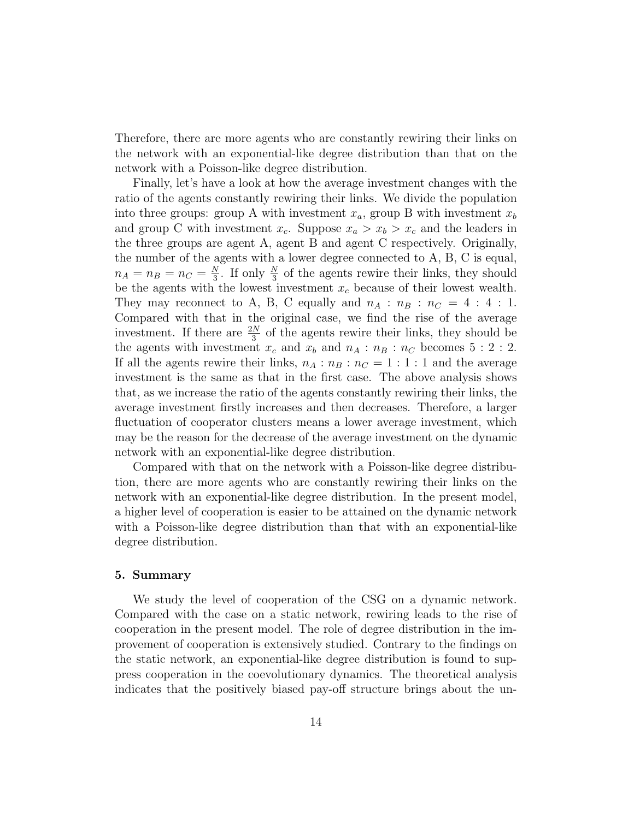Therefore, there are more agents who are constantly rewiring their links on the network with an exponential-like degree distribution than that on the network with a Poisson-like degree distribution.

Finally, let's have a look at how the average investment changes with the ratio of the agents constantly rewiring their links. We divide the population into three groups: group A with investment  $x_a$ , group B with investment  $x_b$ and group C with investment  $x_c$ . Suppose  $x_a > x_b > x_c$  and the leaders in the three groups are agent A, agent B and agent C respectively. Originally, the number of the agents with a lower degree connected to A, B, C is equal,  $n_A = n_B = n_C = \frac{N}{3}$  $\frac{N}{3}$ . If only  $\frac{N}{3}$  of the agents rewire their links, they should be the agents with the lowest investment  $x_c$  because of their lowest wealth. They may reconnect to A, B, C equally and  $n_A : n_B : n_C = 4 : 4 : 1$ . Compared with that in the original case, we find the rise of the average investment. If there are  $\frac{2N}{3}$  of the agents rewire their links, they should be the agents with investment  $x_c$  and  $x_b$  and  $n_A : n_B : n_C$  becomes 5 : 2 : 2. If all the agents rewire their links,  $n_A : n_B : n_C = 1 : 1 : 1$  and the average investment is the same as that in the first case. The above analysis shows that, as we increase the ratio of the agents constantly rewiring their links, the average investment firstly increases and then decreases. Therefore, a larger fluctuation of cooperator clusters means a lower average investment, which may be the reason for the decrease of the average investment on the dynamic network with an exponential-like degree distribution.

Compared with that on the network with a Poisson-like degree distribution, there are more agents who are constantly rewiring their links on the network with an exponential-like degree distribution. In the present model, a higher level of cooperation is easier to be attained on the dynamic network with a Poisson-like degree distribution than that with an exponential-like degree distribution.

## 5. Summary

We study the level of cooperation of the CSG on a dynamic network. Compared with the case on a static network, rewiring leads to the rise of cooperation in the present model. The role of degree distribution in the improvement of cooperation is extensively studied. Contrary to the findings on the static network, an exponential-like degree distribution is found to suppress cooperation in the coevolutionary dynamics. The theoretical analysis indicates that the positively biased pay-off structure brings about the un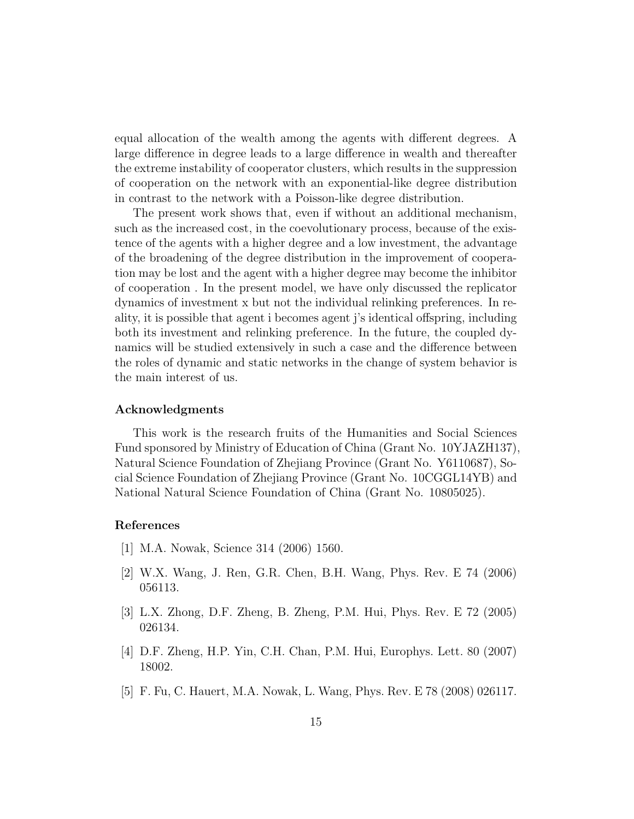equal allocation of the wealth among the agents with different degrees. A large difference in degree leads to a large difference in wealth and thereafter the extreme instability of cooperator clusters, which results in the suppression of cooperation on the network with an exponential-like degree distribution in contrast to the network with a Poisson-like degree distribution.

The present work shows that, even if without an additional mechanism, such as the increased cost, in the coevolutionary process, because of the existence of the agents with a higher degree and a low investment, the advantage of the broadening of the degree distribution in the improvement of cooperation may be lost and the agent with a higher degree may become the inhibitor of cooperation . In the present model, we have only discussed the replicator dynamics of investment x but not the individual relinking preferences. In reality, it is possible that agent i becomes agent j's identical offspring, including both its investment and relinking preference. In the future, the coupled dynamics will be studied extensively in such a case and the difference between the roles of dynamic and static networks in the change of system behavior is the main interest of us.

## Acknowledgments

This work is the research fruits of the Humanities and Social Sciences Fund sponsored by Ministry of Education of China (Grant No. 10YJAZH137), Natural Science Foundation of Zhejiang Province (Grant No. Y6110687), Social Science Foundation of Zhejiang Province (Grant No. 10CGGL14YB) and National Natural Science Foundation of China (Grant No. 10805025).

## References

- <span id="page-14-0"></span>[1] M.A. Nowak, Science 314 (2006) 1560.
- <span id="page-14-1"></span>[2] W.X. Wang, J. Ren, G.R. Chen, B.H. Wang, Phys. Rev. E 74 (2006) 056113.
- <span id="page-14-2"></span>[3] L.X. Zhong, D.F. Zheng, B. Zheng, P.M. Hui, Phys. Rev. E 72 (2005) 026134.
- <span id="page-14-3"></span>[4] D.F. Zheng, H.P. Yin, C.H. Chan, P.M. Hui, Europhys. Lett. 80 (2007) 18002.
- <span id="page-14-4"></span>[5] F. Fu, C. Hauert, M.A. Nowak, L. Wang, Phys. Rev. E 78 (2008) 026117.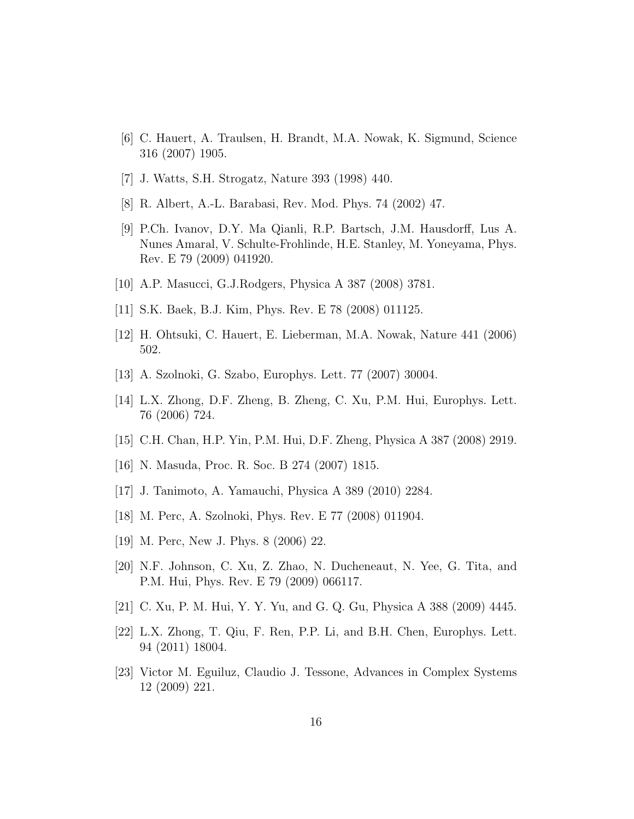- <span id="page-15-0"></span>[6] C. Hauert, A. Traulsen, H. Brandt, M.A. Nowak, K. Sigmund, Science 316 (2007) 1905.
- <span id="page-15-1"></span>[7] J. Watts, S.H. Strogatz, Nature 393 (1998) 440.
- <span id="page-15-2"></span>[8] R. Albert, A.-L. Barabasi, Rev. Mod. Phys. 74 (2002) 47.
- <span id="page-15-3"></span>[9] P.Ch. Ivanov, D.Y. Ma Qianli, R.P. Bartsch, J.M. Hausdorff, Lus A. Nunes Amaral, V. Schulte-Frohlinde, H.E. Stanley, M. Yoneyama, Phys. Rev. E 79 (2009) 041920.
- <span id="page-15-4"></span>[10] A.P. Masucci, G.J.Rodgers, Physica A 387 (2008) 3781.
- <span id="page-15-5"></span>[11] S.K. Baek, B.J. Kim, Phys. Rev. E 78 (2008) 011125.
- <span id="page-15-6"></span>[12] H. Ohtsuki, C. Hauert, E. Lieberman, M.A. Nowak, Nature 441 (2006) 502.
- <span id="page-15-7"></span>[13] A. Szolnoki, G. Szabo, Europhys. Lett. 77 (2007) 30004.
- <span id="page-15-8"></span>[14] L.X. Zhong, D.F. Zheng, B. Zheng, C. Xu, P.M. Hui, Europhys. Lett. 76 (2006) 724.
- <span id="page-15-9"></span>[15] C.H. Chan, H.P. Yin, P.M. Hui, D.F. Zheng, Physica A 387 (2008) 2919.
- <span id="page-15-10"></span>[16] N. Masuda, Proc. R. Soc. B 274 (2007) 1815.
- <span id="page-15-11"></span>[17] J. Tanimoto, A. Yamauchi, Physica A 389 (2010) 2284.
- <span id="page-15-12"></span>[18] M. Perc, A. Szolnoki, Phys. Rev. E 77 (2008) 011904.
- <span id="page-15-13"></span>[19] M. Perc, New J. Phys. 8 (2006) 22.
- <span id="page-15-14"></span>[20] N.F. Johnson, C. Xu, Z. Zhao, N. Ducheneaut, N. Yee, G. Tita, and P.M. Hui, Phys. Rev. E 79 (2009) 066117.
- <span id="page-15-15"></span>[21] C. Xu, P. M. Hui, Y. Y. Yu, and G. Q. Gu, Physica A 388 (2009) 4445.
- <span id="page-15-16"></span>[22] L.X. Zhong, T. Qiu, F. Ren, P.P. Li, and B.H. Chen, Europhys. Lett. 94 (2011) 18004.
- <span id="page-15-17"></span>[23] Victor M. Eguiluz, Claudio J. Tessone, Advances in Complex Systems 12 (2009) 221.